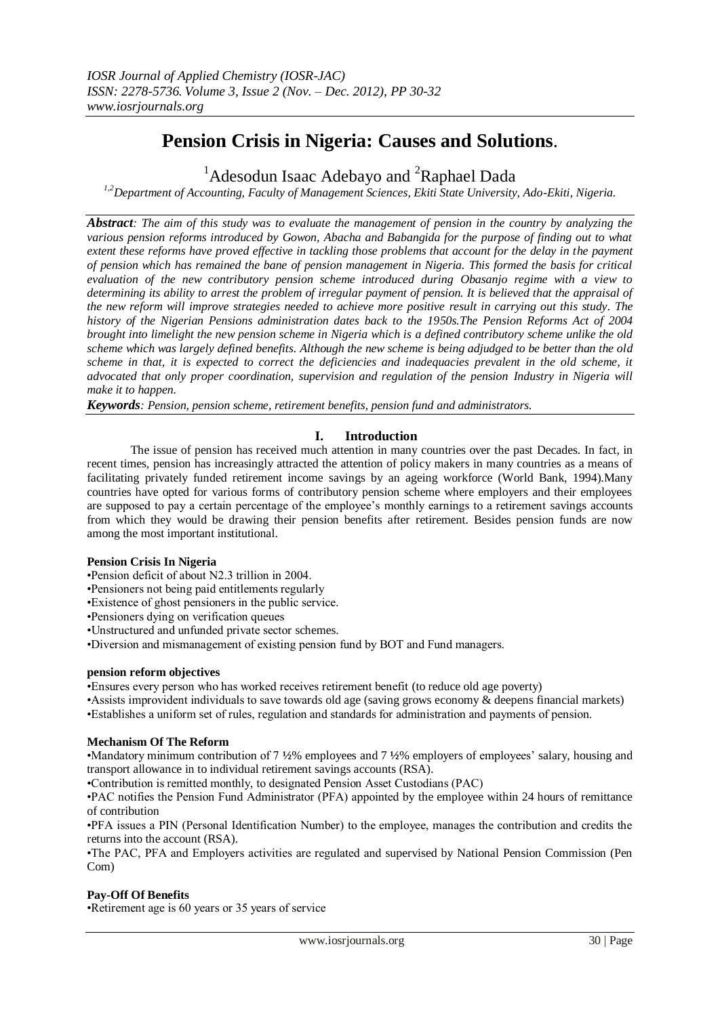# **Pension Crisis in Nigeria: Causes and Solutions**.

<sup>1</sup> Adesodun Isaac Adebayo and <sup>2</sup>Raphael Dada

*1,2Department of Accounting, Faculty of Management Sciences, Ekiti State University, Ado-Ekiti, Nigeria.*

*Abstract: The aim of this study was to evaluate the management of pension in the country by analyzing the various pension reforms introduced by Gowon, Abacha and Babangida for the purpose of finding out to what extent these reforms have proved effective in tackling those problems that account for the delay in the payment of pension which has remained the bane of pension management in Nigeria. This formed the basis for critical evaluation of the new contributory pension scheme introduced during Obasanjo regime with a view to determining its ability to arrest the problem of irregular payment of pension. It is believed that the appraisal of the new reform will improve strategies needed to achieve more positive result in carrying out this study. The history of the Nigerian Pensions administration dates back to the 1950s.The Pension Reforms Act of 2004 brought into limelight the new pension scheme in Nigeria which is a defined contributory scheme unlike the old scheme which was largely defined benefits. Although the new scheme is being adjudged to be better than the old scheme in that, it is expected to correct the deficiencies and inadequacies prevalent in the old scheme, it advocated that only proper coordination, supervision and regulation of the pension Industry in Nigeria will make it to happen.*

*Keywords: Pension, pension scheme, retirement benefits, pension fund and administrators.*

# **I. Introduction**

The issue of pension has received much attention in many countries over the past Decades. In fact, in recent times, pension has increasingly attracted the attention of policy makers in many countries as a means of facilitating privately funded retirement income savings by an ageing workforce (World Bank, 1994).Many countries have opted for various forms of contributory pension scheme where employers and their employees are supposed to pay a certain percentage of the employee's monthly earnings to a retirement savings accounts from which they would be drawing their pension benefits after retirement. Besides pension funds are now among the most important institutional.

#### **Pension Crisis In Nigeria**

•Pension deficit of about N2.3 trillion in 2004.

•Pensioners not being paid entitlements regularly

•Existence of ghost pensioners in the public service.

•Pensioners dying on verification queues

•Unstructured and unfunded private sector schemes.

•Diversion and mismanagement of existing pension fund by BOT and Fund managers.

#### **pension reform objectives**

•Ensures every person who has worked receives retirement benefit (to reduce old age poverty)

•Assists improvident individuals to save towards old age (saving grows economy & deepens financial markets) •Establishes a uniform set of rules, regulation and standards for administration and payments of pension.

#### **Mechanism Of The Reform**

•Mandatory minimum contribution of 7 **½**% employees and 7 **½**% employers of employees' salary, housing and transport allowance in to individual retirement savings accounts (RSA).

•Contribution is remitted monthly, to designated Pension Asset Custodians (PAC)

•PAC notifies the Pension Fund Administrator (PFA) appointed by the employee within 24 hours of remittance of contribution

•PFA issues a PIN (Personal Identification Number) to the employee, manages the contribution and credits the returns into the account (RSA).

•The PAC, PFA and Employers activities are regulated and supervised by National Pension Commission (Pen Com)

#### **Pay-Off Of Benefits**

•Retirement age is 60 years or 35 years of service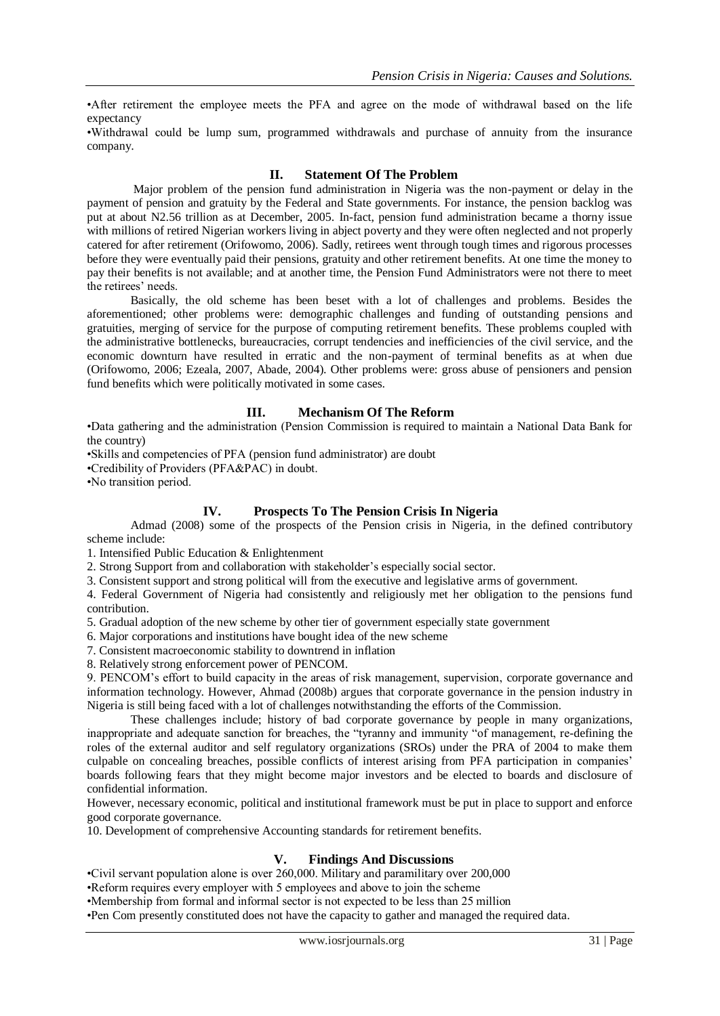•After retirement the employee meets the PFA and agree on the mode of withdrawal based on the life expectancy

•Withdrawal could be lump sum, programmed withdrawals and purchase of annuity from the insurance company.

### **II. Statement Of The Problem**

Major problem of the pension fund administration in Nigeria was the non-payment or delay in the payment of pension and gratuity by the Federal and State governments. For instance, the pension backlog was put at about N2.56 trillion as at December, 2005. In-fact, pension fund administration became a thorny issue with millions of retired Nigerian workers living in abject poverty and they were often neglected and not properly catered for after retirement (Orifowomo, 2006). Sadly, retirees went through tough times and rigorous processes before they were eventually paid their pensions, gratuity and other retirement benefits. At one time the money to pay their benefits is not available; and at another time, the Pension Fund Administrators were not there to meet the retirees' needs.

Basically, the old scheme has been beset with a lot of challenges and problems. Besides the aforementioned; other problems were: demographic challenges and funding of outstanding pensions and gratuities, merging of service for the purpose of computing retirement benefits. These problems coupled with the administrative bottlenecks, bureaucracies, corrupt tendencies and inefficiencies of the civil service, and the economic downturn have resulted in erratic and the non-payment of terminal benefits as at when due (Orifowomo, 2006; Ezeala, 2007, Abade, 2004). Other problems were: gross abuse of pensioners and pension fund benefits which were politically motivated in some cases.

#### **III. Mechanism Of The Reform**

•Data gathering and the administration (Pension Commission is required to maintain a National Data Bank for the country)

•Skills and competencies of PFA (pension fund administrator) are doubt

•Credibility of Providers (PFA&PAC) in doubt.

•No transition period.

#### **IV. Prospects To The Pension Crisis In Nigeria**

Admad (2008) some of the prospects of the Pension crisis in Nigeria, in the defined contributory scheme include:

1. Intensified Public Education & Enlightenment

2. Strong Support from and collaboration with stakeholder's especially social sector.

3. Consistent support and strong political will from the executive and legislative arms of government.

4. Federal Government of Nigeria had consistently and religiously met her obligation to the pensions fund contribution.

5. Gradual adoption of the new scheme by other tier of government especially state government

6. Major corporations and institutions have bought idea of the new scheme

7. Consistent macroeconomic stability to downtrend in inflation

8. Relatively strong enforcement power of PENCOM.

9. PENCOM's effort to build capacity in the areas of risk management, supervision, corporate governance and information technology. However, Ahmad (2008b) argues that corporate governance in the pension industry in Nigeria is still being faced with a lot of challenges notwithstanding the efforts of the Commission.

These challenges include; history of bad corporate governance by people in many organizations, inappropriate and adequate sanction for breaches, the "tyranny and immunity "of management, re-defining the roles of the external auditor and self regulatory organizations (SROs) under the PRA of 2004 to make them culpable on concealing breaches, possible conflicts of interest arising from PFA participation in companies' boards following fears that they might become major investors and be elected to boards and disclosure of confidential information.

However, necessary economic, political and institutional framework must be put in place to support and enforce good corporate governance.

10. Development of comprehensive Accounting standards for retirement benefits.

#### **V. Findings And Discussions**

•Civil servant population alone is over 260,000. Military and paramilitary over 200,000

•Reform requires every employer with 5 employees and above to join the scheme

•Membership from formal and informal sector is not expected to be less than 25 million

•Pen Com presently constituted does not have the capacity to gather and managed the required data.